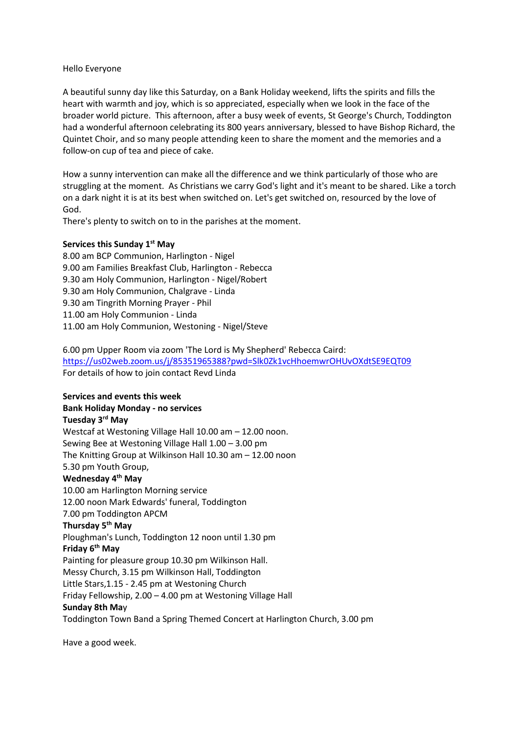## Hello Everyone

A beautiful sunny day like this Saturday, on a Bank Holiday weekend, lifts the spirits and fills the heart with warmth and joy, which is so appreciated, especially when we look in the face of the broader world picture. This afternoon, after a busy week of events, St George's Church, Toddington had a wonderful afternoon celebrating its 800 years anniversary, blessed to have Bishop Richard, the Quintet Choir, and so many people attending keen to share the moment and the memories and a follow-on cup of tea and piece of cake.

How a sunny intervention can make all the difference and we think particularly of those who are struggling at the moment. As Christians we carry God's light and it's meant to be shared. Like a torch on a dark night it is at its best when switched on. Let's get switched on, resourced by the love of God.

There's plenty to switch on to in the parishes at the moment.

## **Services this Sunday 1st May**

8.00 am BCP Communion, Harlington - Nigel 9.00 am Families Breakfast Club, Harlington - Rebecca 9.30 am Holy Communion, Harlington - Nigel/Robert 9.30 am Holy Communion, Chalgrave - Linda 9.30 am Tingrith Morning Prayer - Phil 11.00 am Holy Communion - Linda 11.00 am Holy Communion, Westoning - Nigel/Steve

6.00 pm Upper Room via zoom 'The Lord is My Shepherd' Rebecca Caird: <https://us02web.zoom.us/j/85351965388?pwd=Slk0Zk1vcHhoemwrOHUvOXdtSE9EQT09> For details of how to join contact Revd Linda

## **Services and events this week**

## **Bank Holiday Monday - no services**

**Tuesday 3 rd May** Westcaf at Westoning Village Hall 10.00 am – 12.00 noon. Sewing Bee at Westoning Village Hall 1.00 – 3.00 pm The Knitting Group at Wilkinson Hall 10.30 am – 12.00 noon 5.30 pm Youth Group, **Wednesday 4 th May** 10.00 am Harlington Morning service 12.00 noon Mark Edwards' funeral, Toddington 7.00 pm Toddington APCM **Thursday 5 th May** Ploughman's Lunch, Toddington 12 noon until 1.30 pm **Friday 6 th May** Painting for pleasure group 10.30 pm Wilkinson Hall. Messy Church, 3.15 pm Wilkinson Hall, Toddington Little Stars,1.15 - 2.45 pm at Westoning Church Friday Fellowship, 2.00 – 4.00 pm at Westoning Village Hall **Sunday 8th Ma**y Toddington Town Band a Spring Themed Concert at Harlington Church, 3.00 pm

Have a good week.